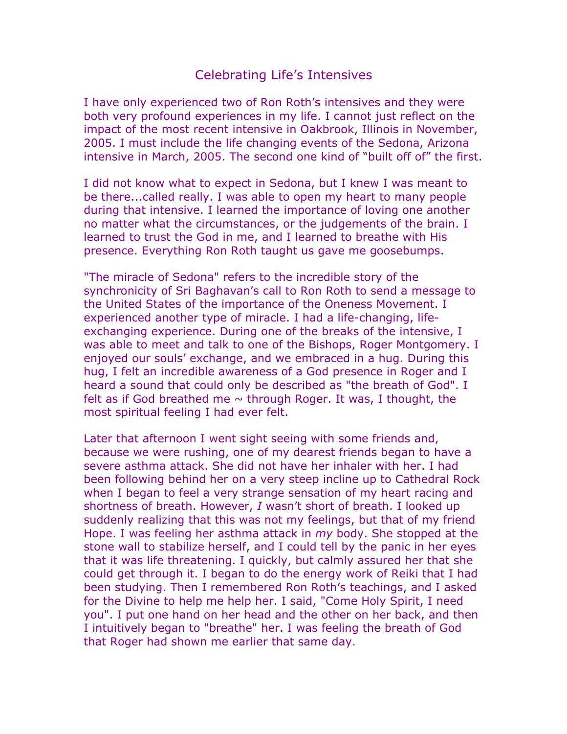## Celebrating Life's Intensives

I have only experienced two of Ron Roth's intensives and they were both very profound experiences in my life. I cannot just reflect on the impact of the most recent intensive in Oakbrook, Illinois in November, 2005. I must include the life changing events of the Sedona, Arizona intensive in March, 2005. The second one kind of "built off of" the first.

I did not know what to expect in Sedona, but I knew I was meant to be there...called really. I was able to open my heart to many people during that intensive. I learned the importance of loving one another no matter what the circumstances, or the judgements of the brain. I learned to trust the God in me, and I learned to breathe with His presence. Everything Ron Roth taught us gave me goosebumps.

"The miracle of Sedona" refers to the incredible story of the synchronicity of Sri Baghavan's call to Ron Roth to send a message to the United States of the importance of the Oneness Movement. I experienced another type of miracle. I had a life-changing, lifeexchanging experience. During one of the breaks of the intensive, I was able to meet and talk to one of the Bishops, Roger Montgomery. I enjoyed our souls' exchange, and we embraced in a hug. During this hug, I felt an incredible awareness of a God presence in Roger and I heard a sound that could only be described as "the breath of God". I felt as if God breathed me  $\sim$  through Roger. It was, I thought, the most spiritual feeling I had ever felt.

Later that afternoon I went sight seeing with some friends and, because we were rushing, one of my dearest friends began to have a severe asthma attack. She did not have her inhaler with her. I had been following behind her on a very steep incline up to Cathedral Rock when I began to feel a very strange sensation of my heart racing and shortness of breath. However, *I* wasn't short of breath. I looked up suddenly realizing that this was not my feelings, but that of my friend Hope. I was feeling her asthma attack in *my* body. She stopped at the stone wall to stabilize herself, and I could tell by the panic in her eyes that it was life threatening. I quickly, but calmly assured her that she could get through it. I began to do the energy work of Reiki that I had been studying. Then I remembered Ron Roth's teachings, and I asked for the Divine to help me help her. I said, "Come Holy Spirit, I need you". I put one hand on her head and the other on her back, and then I intuitively began to "breathe" her. I was feeling the breath of God that Roger had shown me earlier that same day.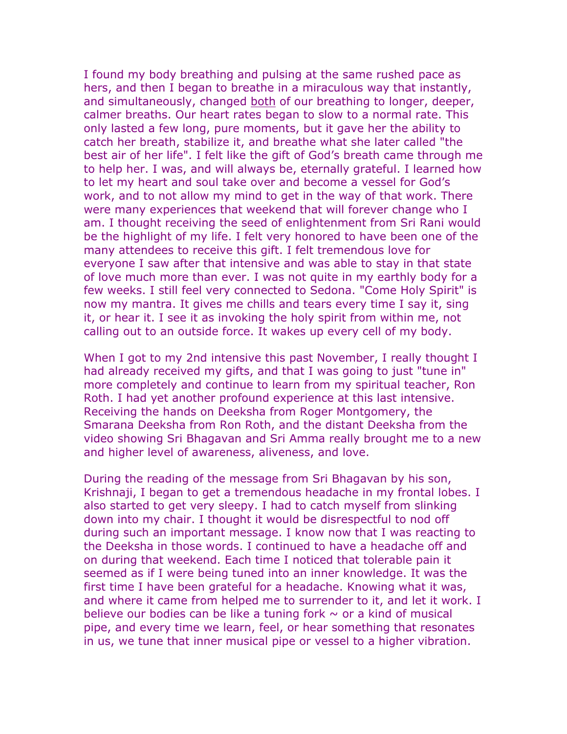I found my body breathing and pulsing at the same rushed pace as hers, and then I began to breathe in a miraculous way that instantly, and simultaneously, changed both of our breathing to longer, deeper, calmer breaths. Our heart rates began to slow to a normal rate. This only lasted a few long, pure moments, but it gave her the ability to catch her breath, stabilize it, and breathe what she later called "the best air of her life". I felt like the gift of God's breath came through me to help her. I was, and will always be, eternally grateful. I learned how to let my heart and soul take over and become a vessel for God's work, and to not allow my mind to get in the way of that work. There were many experiences that weekend that will forever change who I am. I thought receiving the seed of enlightenment from Sri Rani would be the highlight of my life. I felt very honored to have been one of the many attendees to receive this gift. I felt tremendous love for everyone I saw after that intensive and was able to stay in that state of love much more than ever. I was not quite in my earthly body for a few weeks. I still feel very connected to Sedona. "Come Holy Spirit" is now my mantra. It gives me chills and tears every time I say it, sing it, or hear it. I see it as invoking the holy spirit from within me, not calling out to an outside force. It wakes up every cell of my body.

When I got to my 2nd intensive this past November, I really thought I had already received my gifts, and that I was going to just "tune in" more completely and continue to learn from my spiritual teacher, Ron Roth. I had yet another profound experience at this last intensive. Receiving the hands on Deeksha from Roger Montgomery, the Smarana Deeksha from Ron Roth, and the distant Deeksha from the video showing Sri Bhagavan and Sri Amma really brought me to a new and higher level of awareness, aliveness, and love.

During the reading of the message from Sri Bhagavan by his son, Krishnaji, I began to get a tremendous headache in my frontal lobes. I also started to get very sleepy. I had to catch myself from slinking down into my chair. I thought it would be disrespectful to nod off during such an important message. I know now that I was reacting to the Deeksha in those words. I continued to have a headache off and on during that weekend. Each time I noticed that tolerable pain it seemed as if I were being tuned into an inner knowledge. It was the first time I have been grateful for a headache. Knowing what it was, and where it came from helped me to surrender to it, and let it work. I believe our bodies can be like a tuning fork  $\sim$  or a kind of musical pipe, and every time we learn, feel, or hear something that resonates in us, we tune that inner musical pipe or vessel to a higher vibration.